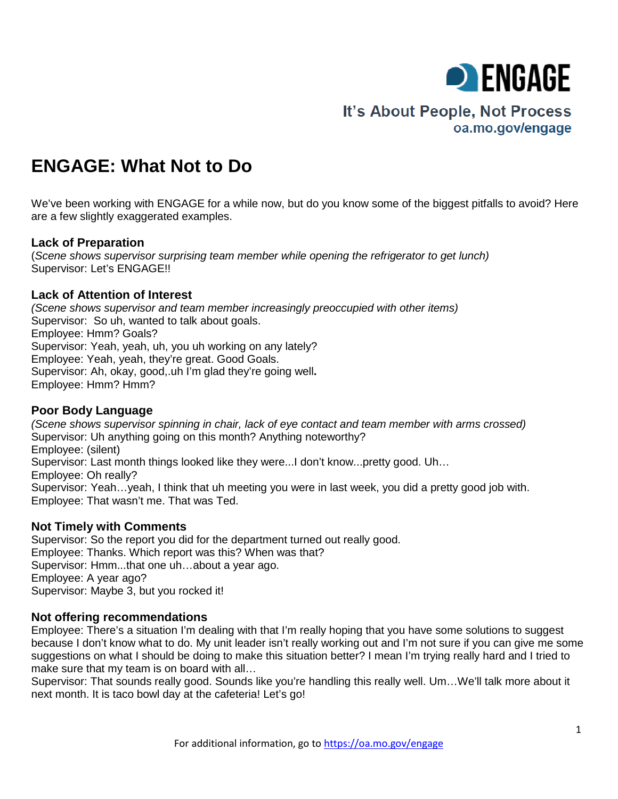

# It's About People, Not Process oa.mo.gov/engage

# **ENGAGE: What Not to Do**

We've been working with ENGAGE for a while now, but do you know some of the biggest pitfalls to avoid? Here are a few slightly exaggerated examples.

## **Lack of Preparation**

(*Scene shows supervisor surprising team member while opening the refrigerator to get lunch)* Supervisor: Let's ENGAGE!!

## **Lack of Attention of Interest**

*(Scene shows supervisor and team member increasingly preoccupied with other items)* Supervisor: So uh, wanted to talk about goals. Employee: Hmm? Goals? Supervisor: Yeah, yeah, uh, you uh working on any lately? Employee: Yeah, yeah, they're great. Good Goals. Supervisor: Ah, okay, good,.uh I'm glad they're going well**.** Employee: Hmm? Hmm?

## **Poor Body Language**

*(Scene shows supervisor spinning in chair, lack of eye contact and team member with arms crossed)* Supervisor: Uh anything going on this month? Anything noteworthy? Employee: (silent) Supervisor: Last month things looked like they were...I don't know...pretty good. Uh… Employee: Oh really? Supervisor: Yeah…yeah, I think that uh meeting you were in last week, you did a pretty good job with. Employee: That wasn't me. That was Ted.

## **Not Timely with Comments**

Supervisor: So the report you did for the department turned out really good. Employee: Thanks. Which report was this? When was that? Supervisor: Hmm...that one uh…about a year ago. Employee: A year ago? Supervisor: Maybe 3, but you rocked it!

#### **Not offering recommendations**

Employee: There's a situation I'm dealing with that I'm really hoping that you have some solutions to suggest because I don't know what to do. My unit leader isn't really working out and I'm not sure if you can give me some suggestions on what I should be doing to make this situation better? I mean I'm trying really hard and I tried to make sure that my team is on board with all…

Supervisor: That sounds really good. Sounds like you're handling this really well. Um…We'll talk more about it next month. It is taco bowl day at the cafeteria! Let's go!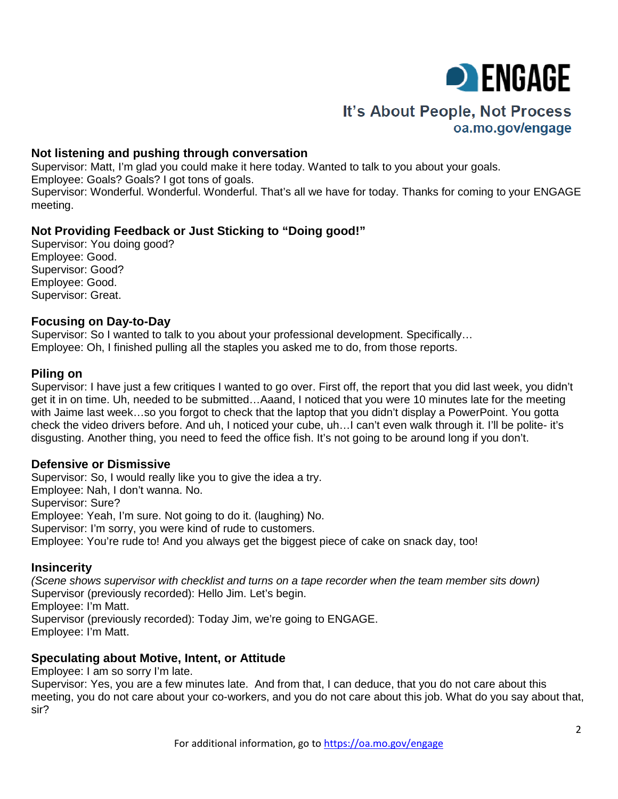

# It's About People, Not Process oa.mo.gov/engage

#### **Not listening and pushing through conversation**

Supervisor: Matt, I'm glad you could make it here today. Wanted to talk to you about your goals. Employee: Goals? Goals? I got tons of goals. Supervisor: Wonderful. Wonderful. Wonderful. That's all we have for today. Thanks for coming to your ENGAGE meeting.

## **Not Providing Feedback or Just Sticking to "Doing good!"**

Supervisor: You doing good? Employee: Good. Supervisor: Good? Employee: Good. Supervisor: Great.

#### **Focusing on Day-to-Day**

Supervisor: So I wanted to talk to you about your professional development. Specifically… Employee: Oh, I finished pulling all the staples you asked me to do, from those reports.

#### **Piling on**

Supervisor: I have just a few critiques I wanted to go over. First off, the report that you did last week, you didn't get it in on time. Uh, needed to be submitted…Aaand, I noticed that you were 10 minutes late for the meeting with Jaime last week…so you forgot to check that the laptop that you didn't display a PowerPoint. You gotta check the video drivers before. And uh, I noticed your cube, uh…I can't even walk through it. I'll be polite- it's disgusting. Another thing, you need to feed the office fish. It's not going to be around long if you don't.

#### **Defensive or Dismissive**

Supervisor: So, I would really like you to give the idea a try. Employee: Nah, I don't wanna. No. Supervisor: Sure? Employee: Yeah, I'm sure. Not going to do it. (laughing) No. Supervisor: I'm sorry, you were kind of rude to customers. Employee: You're rude to! And you always get the biggest piece of cake on snack day, too!

#### **Insincerity**

*(Scene shows supervisor with checklist and turns on a tape recorder when the team member sits down)* Supervisor (previously recorded): Hello Jim. Let's begin. Employee: I'm Matt. Supervisor (previously recorded): Today Jim, we're going to ENGAGE. Employee: I'm Matt.

#### **Speculating about Motive, Intent, or Attitude**

Employee: I am so sorry I'm late.

Supervisor: Yes, you are a few minutes late. And from that, I can deduce, that you do not care about this meeting, you do not care about your co-workers, and you do not care about this job. What do you say about that, sir?